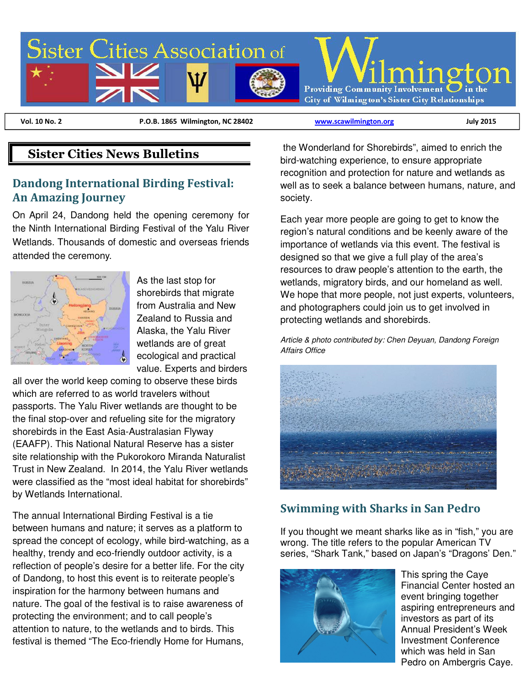

 **Vol. 10 No. 2 P.O.B. 1865 Wilmington, NC 28402 www.scawilmington.org July 2015**

## **Sister Cities News Bulletins**

#### **Dandong International Birding Festival: An Amazing Journey**

On April 24, Dandong held the opening ceremony for the Ninth International Birding Festival of the Yalu River Wetlands. Thousands of domestic and overseas friends attended the ceremony.



As the last stop for shorebirds that migrate from Australia and New Zealand to Russia and Alaska, the Yalu River wetlands are of great ecological and practical value. Experts and birders

all over the world keep coming to observe these birds which are referred to as world travelers without passports. The Yalu River wetlands are thought to be the final stop-over and refueling site for the migratory shorebirds in the East Asia-Australasian Flyway (EAAFP). This National Natural Reserve has a sister site relationship with the Pukorokoro Miranda Naturalist Trust in New Zealand. In 2014, the Yalu River wetlands were classified as the "most ideal habitat for shorebirds" by Wetlands International.

The annual International Birding Festival is a tie between humans and nature; it serves as a platform to spread the concept of ecology, while bird-watching, as a healthy, trendy and eco-friendly outdoor activity, is a reflection of people's desire for a better life. For the city of Dandong, to host this event is to reiterate people's inspiration for the harmony between humans and nature. The goal of the festival is to raise awareness of protecting the environment; and to call people's attention to nature, to the wetlands and to birds. This festival is themed "The Eco-friendly Home for Humans,

 the Wonderland for Shorebirds", aimed to enrich the bird-watching experience, to ensure appropriate recognition and protection for nature and wetlands as well as to seek a balance between humans, nature, and society.

Each year more people are going to get to know the region's natural conditions and be keenly aware of the importance of wetlands via this event. The festival is designed so that we give a full play of the area's resources to draw people's attention to the earth, the wetlands, migratory birds, and our homeland as well. We hope that more people, not just experts, volunteers, and photographers could join us to get involved in protecting wetlands and shorebirds.

Article & photo contributed by: Chen Deyuan, Dandong Foreign Affairs Office



### **Swimming with Sharks in San Pedro**

If you thought we meant sharks like as in "fish," you are wrong. The title refers to the popular American TV series, "Shark Tank," based on Japan's "Dragons' Den."



This spring the Caye Financial Center hosted an event bringing together aspiring entrepreneurs and investors as part of its Annual President's Week Investment Conference which was held in San Pedro on Ambergris Caye.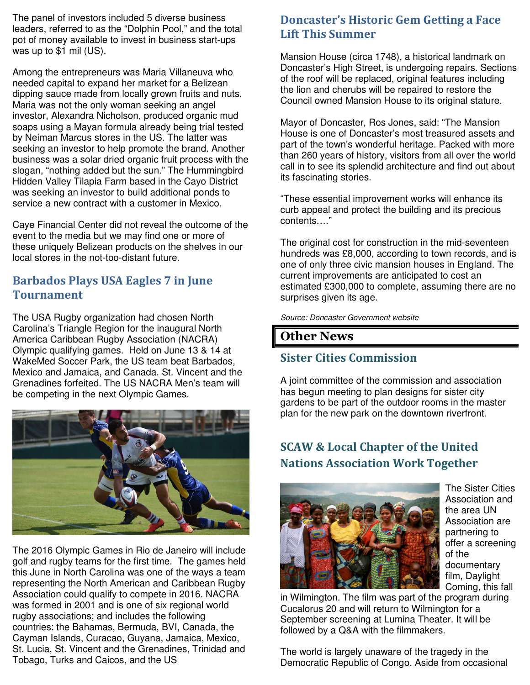The panel of investors included 5 diverse business leaders, referred to as the "Dolphin Pool," and the total pot of money available to invest in business start-ups was up to \$1 mil (US).

Among the entrepreneurs was Maria Villaneuva who needed capital to expand her market for a Belizean dipping sauce made from locally grown fruits and nuts. Maria was not the only woman seeking an angel investor, Alexandra Nicholson, produced organic mud soaps using a Mayan formula already being trial tested by Neiman Marcus stores in the US. The latter was seeking an investor to help promote the brand. Another business was a solar dried organic fruit process with the slogan, "nothing added but the sun." The Hummingbird Hidden Valley Tilapia Farm based in the Cayo District was seeking an investor to build additional ponds to service a new contract with a customer in Mexico.

Caye Financial Center did not reveal the outcome of the event to the media but we may find one or more of these uniquely Belizean products on the shelves in our local stores in the not-too-distant future.

#### **Barbados Plays USA Eagles 7 in June Tournament**

The USA Rugby organization had chosen North Carolina's Triangle Region for the inaugural North America Caribbean Rugby Association (NACRA) Olympic qualifying games. Held on June 13 & 14 at WakeMed Soccer Park, the US team beat Barbados, Mexico and Jamaica, and Canada. St. Vincent and the Grenadines forfeited. The US NACRA Men's team will be competing in the next Olympic Games.



The 2016 Olympic Games in Rio de Janeiro will include golf and rugby teams for the first time. The games held this June in North Carolina was one of the ways a team representing the North American and Caribbean Rugby Association could qualify to compete in 2016. NACRA was formed in 2001 and is one of six regional world rugby associations; and includes the following countries: the Bahamas, Bermuda, BVI, Canada, the Cayman Islands, Curacao, Guyana, Jamaica, Mexico, St. Lucia, St. Vincent and the Grenadines, Trinidad and Tobago, Turks and Caicos, and the US

#### **Doncaster's Historic Gem Getting a Face Lift This Summer**

Mansion House (circa 1748), a historical landmark on Doncaster's High Street, is undergoing repairs. Sections of the roof will be replaced, original features including the lion and cherubs will be repaired to restore the Council owned Mansion House to its original stature.

Mayor of Doncaster, Ros Jones, said: "The Mansion House is one of Doncaster's most treasured assets and part of the town's wonderful heritage. Packed with more than 260 years of history, visitors from all over the world call in to see its splendid architecture and find out about its fascinating stories.

"These essential improvement works will enhance its curb appeal and protect the building and its precious contents…."

The original cost for construction in the mid-seventeen hundreds was £8,000, according to town records, and is one of only three civic mansion houses in England. The current improvements are anticipated to cost an estimated £300,000 to complete, assuming there are no surprises given its age.

Source: Doncaster Government website

### **Other News**

## **Sister Cities Commission**

A joint committee of the commission and association has begun meeting to plan designs for sister city gardens to be part of the outdoor rooms in the master plan for the new park on the downtown riverfront.

# **SCAW & Local Chapter of the United Nations Association Work Together**



The Sister Cities Association and the area UN Association are partnering to offer a screening of the documentary film, Daylight Coming, this fall

in Wilmington. The film was part of the program during Cucalorus 20 and will return to Wilmington for a September screening at Lumina Theater. It will be followed by a Q&A with the filmmakers.

The world is largely unaware of the tragedy in the Democratic Republic of Congo. Aside from occasional